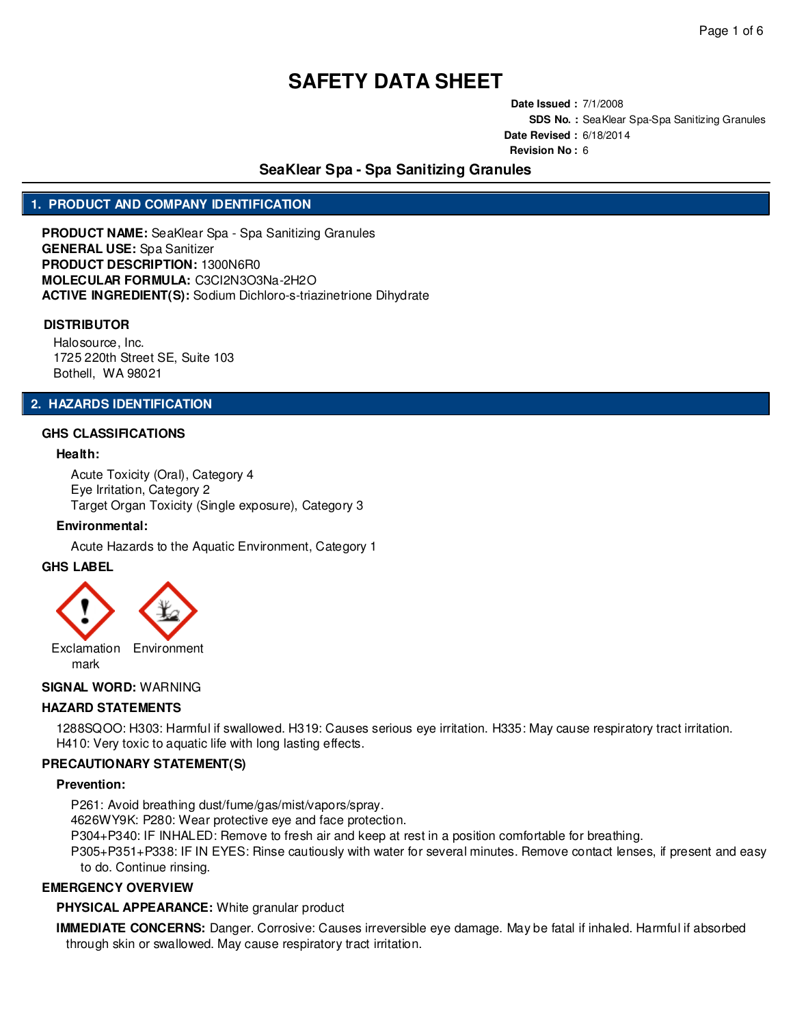**Date Issued :** 7/1/2008 **SDS No. :** SeaKlear Spa-Spa Sanitizing Granules **Date Revised :** 6/18/2014 **Revision No :** 6

# **SeaKlear Spa - Spa Sanitizing Granules**

# **1. PRODUCT AND COMPANY IDENTIFICATION**

**PRODUCT NAME:** SeaKlear Spa - Spa Sanitizing Granules **GENERAL USE:** Spa Sanitizer **PRODUCT DESCRIPTION:** 1300N6R0 **MOLECULAR FORMULA:** C3CI2N3O3Na-2H2O **ACTIVE INGREDIENT(S):** Sodium Dichloro-s-triazinetrione Dihydrate

#### **DISTRIBUTOR**

Halosource, Inc. 1725 220th Street SE, Suite 103 Bothell, WA 98021

### **2. HAZARDS IDENTIFICATION**

## **GHS CLASSIFICATIONS**

#### **Health:**

Acute Toxicity (Oral), Category 4 Eye Irritation, Category 2 Target Organ Toxicity (Single exposure), Category 3

#### **Environmental:**

Acute Hazards to the Aquatic Environment, Category 1

### **GHS LABEL**

Exclamation Environment mark

## **SIGNAL WORD:** WARNING

### **HAZARD STATEMENTS**

1288SQOO: H303: Harmful if swallowed. H319: Causes serious eye irritation. H335: May cause respiratory tract irritation. H410: Very toxic to aquatic life with long lasting effects.

## **PRECAUTIONARY STATEMENT(S)**

#### **Prevention:**

P261: Avoid breathing dust/fume/gas/mist/vapors/spray.

4626WY9K: P280: Wear protective eye and face protection.

P304+P340: IF INHALED: Remove to fresh air and keep at rest in a position comfortable for breathing.

P305+P351+P338: IF IN EYES: Rinse cautiously with water for several minutes. Remove contact lenses, if present and easy to do. Continue rinsing.

### **EMERGENCY OVERVIEW**

#### **PHYSICAL APPEARANCE:** White granular product

**IMMEDIATE CONCERNS:** Danger. Corrosive: Causes irreversible eye damage. May be fatal if inhaled. Harmful if absorbed through skin or swallowed. May cause respiratory tract irritation.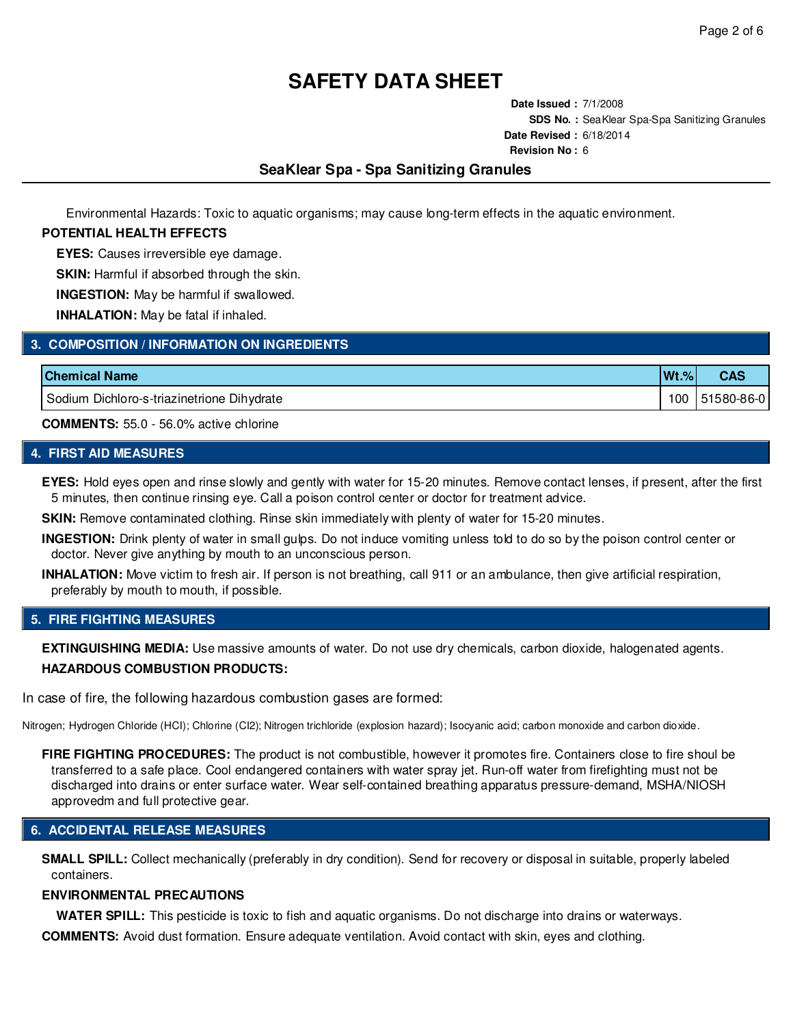**Date Issued :** 7/1/2008 **SDS No. :** SeaKlear Spa-Spa Sanitizing Granules **Date Revised :** 6/18/2014 **Revision No :** 6

# **SeaKlear Spa - Spa Sanitizing Granules**

Environmental Hazards: Toxic to aquatic organisms; may cause long-term effects in the aquatic environment.

### **POTENTIAL HEALTH EFFECTS**

**EYES:** Causes irreversible eye damage.

**SKIN:** Harmful if absorbed through the skin.

**INGESTION:** May be harmful if swallowed.

**INHALATION:** May be fatal if inhaled.

## **3. COMPOSITION / INFORMATION ON INGREDIENTS**

| <b>Chemical Name</b>                       | $Wt.\%$ |            |
|--------------------------------------------|---------|------------|
| Sodium Dichloro-s-triazinetrione Dihydrate | 100     | 51580-86-0 |

**COMMENTS:** 55.0 - 56.0% active chlorine

# **4. FIRST AID MEASURES**

**EYES:** Hold eyes open and rinse slowly and gently with water for 15-20 minutes. Remove contact lenses, if present, after the first 5 minutes, then continue rinsing eye. Call a poison control center or doctor for treatment advice.

**SKIN:** Remove contaminated clothing. Rinse skin immediately with plenty of water for 15-20 minutes.

**INGESTION:** Drink plenty of water in small gulps. Do not induce vomiting unless told to do so by the poison control center or doctor. Never give anything by mouth to an unconscious person.

**INHALATION:** Move victim to fresh air. If person is not breathing, call 911 or an ambulance, then give artificial respiration, preferably by mouth to mouth, if possible.

## **5. FIRE FIGHTING MEASURES**

**EXTINGUISHING MEDIA:** Use massive amounts of water. Do not use dry chemicals, carbon dioxide, halogenated agents. **HAZARDOUS COMBUSTION PRODUCTS:**

In case of fire, the following hazardous combustion gases are formed:

Nitrogen; Hydrogen Chloride (HCI); Chlorine (CI2); Nitrogen trichloride (explosion hazard); Isocyanic acid; carbon monoxide and carbon dioxide.

**FIRE FIGHTING PROCEDURES:** The product is not combustible, however it promotes fire. Containers close to fire shoul be transferred to a safe place. Cool endangered containers with water spray jet. Run-off water from firefighting must not be discharged into drains or enter surface water. Wear self-contained breathing apparatus pressure-demand, MSHA/NIOSH approvedm and full protective gear.

# **6. ACCIDENTAL RELEASE MEASURES**

**SMALL SPILL:** Collect mechanically (preferably in dry condition). Send for recovery or disposal in suitable, properly labeled containers.

#### **ENVIRONMENTAL PRECAUTIONS**

**WATER SPILL:** This pesticide is toxic to fish and aquatic organisms. Do not discharge into drains or waterways.

**COMMENTS:** Avoid dust formation. Ensure adequate ventilation. Avoid contact with skin, eyes and clothing.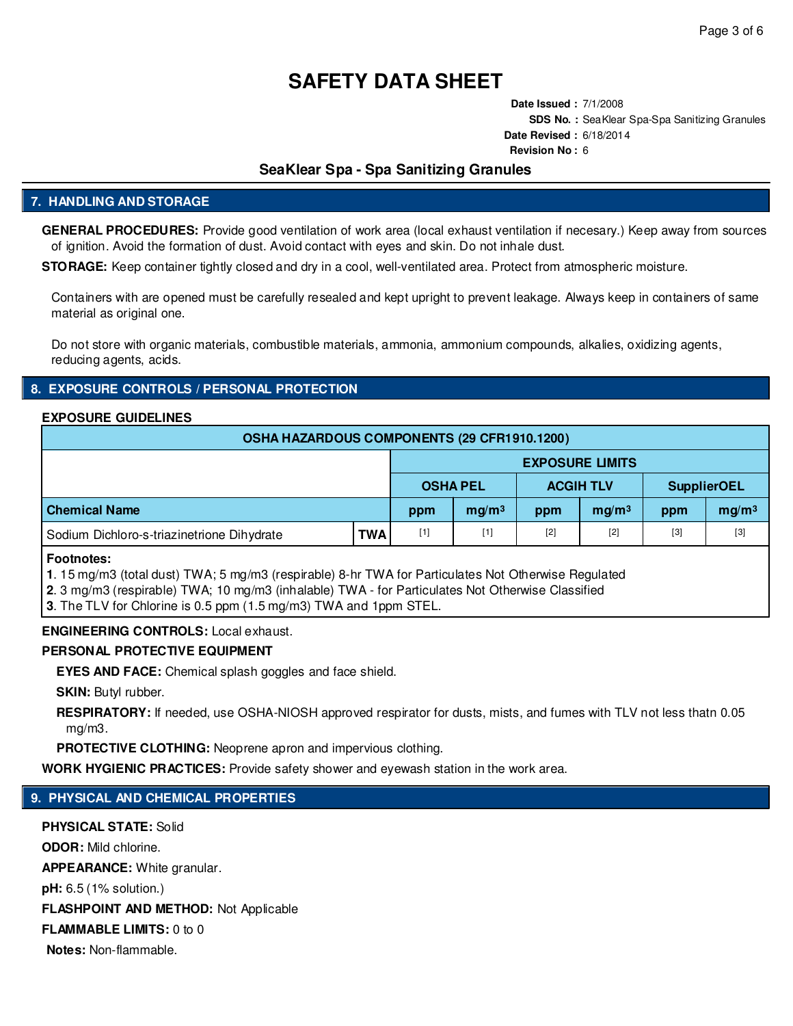**Date Issued :** 7/1/2008 **SDS No. :** SeaKlear Spa-Spa Sanitizing Granules **Date Revised :** 6/18/2014 **Revision No :** 6

# **SeaKlear Spa - Spa Sanitizing Granules**

# **7. HANDLING AND STORAGE**

**GENERAL PROCEDURES:** Provide good ventilation of work area (local exhaust ventilation if necesary.) Keep away from sources of ignition. Avoid the formation of dust. Avoid contact with eyes and skin. Do not inhale dust.

**STORAGE:** Keep container tightly closed and dry in a cool, well-ventilated area. Protect from atmospheric moisture.

Containers with are opened must be carefully resealed and kept upright to prevent leakage. Always keep in containers of same material as original one.

Do not store with organic materials, combustible materials, ammonia, ammonium compounds, alkalies, oxidizing agents, reducing agents, acids.

## **8. EXPOSURE CONTROLS / PERSONAL PROTECTION**

#### **EXPOSURE GUIDELINES**

| OSHA HAZARDOUS COMPONENTS (29 CFR1910.1200) |            |                 |                        |                  |                   |                    |                   |  |  |
|---------------------------------------------|------------|-----------------|------------------------|------------------|-------------------|--------------------|-------------------|--|--|
|                                             |            |                 | <b>EXPOSURE LIMITS</b> |                  |                   |                    |                   |  |  |
|                                             |            | <b>OSHA PEL</b> |                        | <b>ACGIH TLV</b> |                   | <b>SupplierOEL</b> |                   |  |  |
| <b>Chemical Name</b>                        |            | ppm             | mq/m <sup>3</sup>      | ppm              | mq/m <sup>3</sup> | ppm                | mg/m <sup>3</sup> |  |  |
| Sodium Dichloro-s-triazinetrione Dihydrate  | <b>TWA</b> | $[1]$           | $[1]$                  | $[2]$            | $[2]$             | $[3]$              | $[3]$             |  |  |

**Footnotes:**

**1**. 15 mg/m3 (total dust) TWA; 5 mg/m3 (respirable) 8-hr TWA for Particulates Not Otherwise Regulated

**2**. 3 mg/m3 (respirable) TWA; 10 mg/m3 (inhalable) TWA - for Particulates Not Otherwise Classified

**3**. The TLV for Chlorine is 0.5 ppm (1.5 mg/m3) TWA and 1ppm STEL.

## **ENGINEERING CONTROLS:** Local exhaust.

## **PERSONAL PROTECTIVE EQUIPMENT**

**EYES AND FACE:** Chemical splash goggles and face shield.

**SKIN:** Butyl rubber.

**RESPIRATORY:** If needed, use OSHA-NIOSH approved respirator for dusts, mists, and fumes with TLV not less thatn 0.05 mg/m3.

**PROTECTIVE CLOTHING:** Neoprene apron and impervious clothing.

**WORK HYGIENIC PRACTICES:** Provide safety shower and eyewash station in the work area.

# **9. PHYSICAL AND CHEMICAL PROPERTIES**

**PHYSICAL STATE:** Solid **ODOR:** Mild chlorine. **APPEARANCE:** White granular. **pH:** 6.5 (1% solution.) **FLASHPOINT AND METHOD:** Not Applicable **FLAMMABLE LIMITS:** 0 to 0 **Notes:** Non-flammable.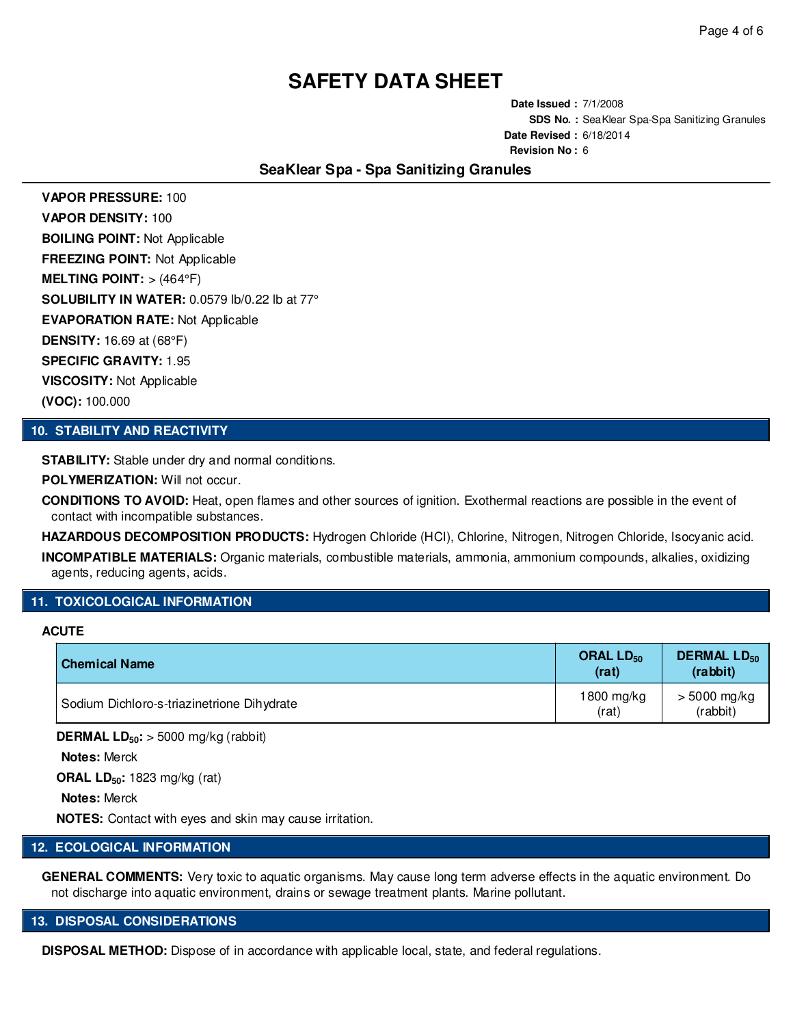**Date Issued :** 7/1/2008 **SDS No. :** SeaKlear Spa-Spa Sanitizing Granules **Date Revised :** 6/18/2014 **Revision No :** 6

# **SeaKlear Spa - Spa Sanitizing Granules**

**VAPOR PRESSURE:** 100 **VAPOR DENSITY:** 100 **BOILING POINT:** Not Applicable **FREEZING POINT:** Not Applicable **MELTING POINT:** > (464°F) **SOLUBILITY IN WATER:** 0.0579 lb/0.22 lb at 77° **EVAPORATION RATE:** Not Applicable **DENSITY:** 16.69 at (68°F) **SPECIFIC GRAVITY:** 1.95 **VISCOSITY:** Not Applicable **(VOC):** 100.000

### **10. STABILITY AND REACTIVITY**

**STABILITY:** Stable under dry and normal conditions.

**POLYMERIZATION:** Will not occur.

**CONDITIONS TO AVOID:** Heat, open flames and other sources of ignition. Exothermal reactions are possible in the event of contact with incompatible substances.

**HAZARDOUS DECOMPOSITION PRODUCTS:** Hydrogen Chloride (HCI), Chlorine, Nitrogen, Nitrogen Chloride, Isocyanic acid. **INCOMPATIBLE MATERIALS:** Organic materials, combustible materials, ammonia, ammonium compounds, alkalies, oxidizing agents, reducing agents, acids.

# **11. TOXICOLOGICAL INFORMATION**

## **ACUTE**

| <b>Chemical Name</b>                       | ORAL $LD_{50}$<br>(rat) | <b>DERMAL LD<sub>50</sub></b><br>(rabbit) |
|--------------------------------------------|-------------------------|-------------------------------------------|
| Sodium Dichloro-s-triazinetrione Dihydrate | 1800 mg/kg<br>(rat)     | $> 5000$ mg/kg<br>(rabbit)                |

**DERMAL LD50:** > 5000 mg/kg (rabbit)

**Notes:** Merck

**ORAL LD50:** 1823 mg/kg (rat)

**Notes:** Merck

**NOTES:** Contact with eyes and skin may cause irritation.

# **12. ECOLOGICAL INFORMATION**

**GENERAL COMMENTS:** Very toxic to aquatic organisms. May cause long term adverse effects in the aquatic environment. Do not discharge into aquatic environment, drains or sewage treatment plants. Marine pollutant.

#### **13. DISPOSAL CONSIDERATIONS**

**DISPOSAL METHOD:** Dispose of in accordance with applicable local, state, and federal regulations.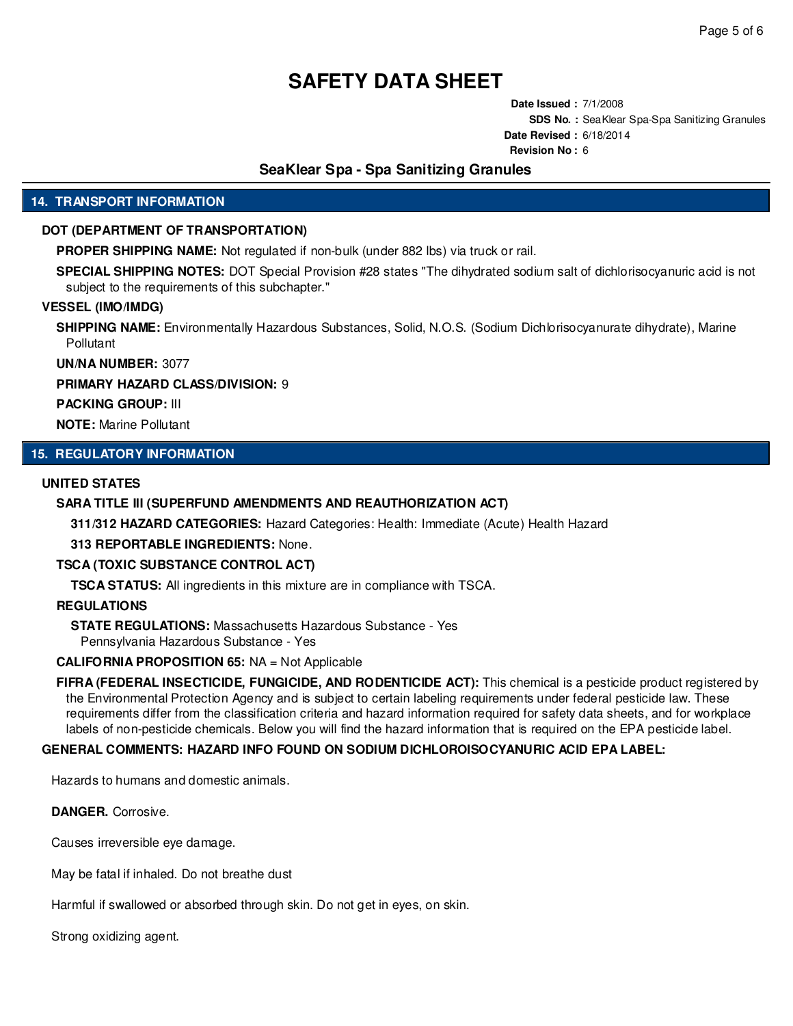**Date Issued :** 7/1/2008 **SDS No. :** SeaKlear Spa-Spa Sanitizing Granules **Date Revised :** 6/18/2014 **Revision No :** 6

# **SeaKlear Spa - Spa Sanitizing Granules**

# **14. TRANSPORT INFORMATION**

## **DOT (DEPARTMENT OF TRANSPORTATION)**

**PROPER SHIPPING NAME:** Not regulated if non-bulk (under 882 lbs) via truck or rail.

**SPECIAL SHIPPING NOTES:** DOT Special Provision #28 states "The dihydrated sodium salt of dichlorisocyanuric acid is not subject to the requirements of this subchapter."

#### **VESSEL (IMO/IMDG)**

**SHIPPING NAME:** Environmentally Hazardous Substances, Solid, N.O.S. (Sodium Dichlorisocyanurate dihydrate), Marine Pollutant

**UN/NA NUMBER:** 3077

# **PRIMARY HAZARD CLASS/DIVISION:** 9

**PACKING GROUP:** III

**NOTE:** Marine Pollutant

# **15. REGULATORY INFORMATION**

## **UNITED STATES**

#### **SARA TITLE III (SUPERFUND AMENDMENTS AND REAUTHORIZATION ACT)**

**311/312 HAZARD CATEGORIES:** Hazard Categories: Health: Immediate (Acute) Health Hazard

**313 REPORTABLE INGREDIENTS:** None.

### **TSCA (TOXIC SUBSTANCE CONTROL ACT)**

**TSCA STATUS:** All ingredients in this mixture are in compliance with TSCA.

#### **REGULATIONS**

**STATE REGULATIONS:** Massachusetts Hazardous Substance - Yes Pennsylvania Hazardous Substance - Yes

#### **CALIFORNIA PROPOSITION 65:** NA = Not Applicable

**FIFRA (FEDERAL INSECTICIDE, FUNGICIDE, AND RODENTICIDE ACT):** This chemical is a pesticide product registered by the Environmental Protection Agency and is subject to certain labeling requirements under federal pesticide law. These requirements differ from the classification criteria and hazard information required for safety data sheets, and for workplace labels of non-pesticide chemicals. Below you will find the hazard information that is required on the EPA pesticide label.

#### **GENERAL COMMENTS: HAZARD INFO FOUND ON SODIUM DICHLOROISOCYANURIC ACID EPA LABEL:**

Hazards to humans and domestic animals.

**DANGER.** Corrosive.

Causes irreversible eye damage.

May be fatal if inhaled. Do not breathe dust

Harmful if swallowed or absorbed through skin. Do not get in eyes, on skin.

Strong oxidizing agent.